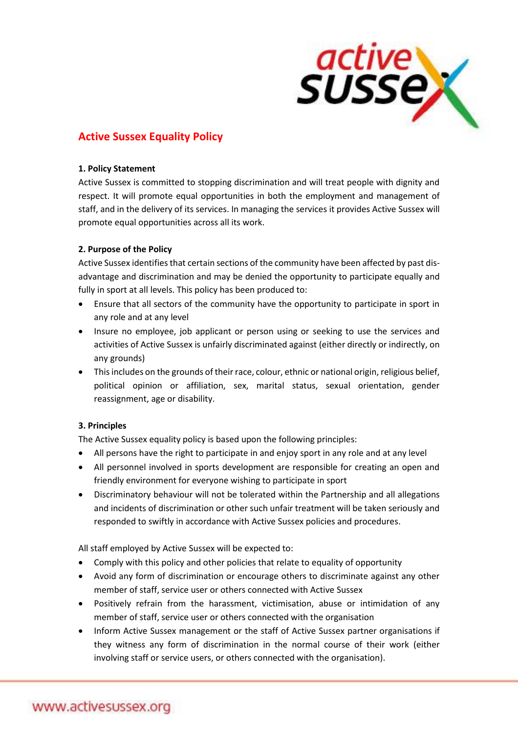

# **Active Sussex Equality Policy**

#### **1. Policy Statement**

Active Sussex is committed to stopping discrimination and will treat people with dignity and respect. It will promote equal opportunities in both the employment and management of staff, and in the delivery of its services. In managing the services it provides Active Sussex will promote equal opportunities across all its work.

# **2. Purpose of the Policy**

Active Sussex identifies that certain sections of the community have been affected by past disadvantage and discrimination and may be denied the opportunity to participate equally and fully in sport at all levels. This policy has been produced to:

- Ensure that all sectors of the community have the opportunity to participate in sport in any role and at any level
- Insure no employee, job applicant or person using or seeking to use the services and activities of Active Sussex is unfairly discriminated against (either directly or indirectly, on any grounds)
- This includes on the grounds of their race, colour, ethnic or national origin, religious belief, political opinion or affiliation, sex, marital status, sexual orientation, gender reassignment, age or disability.

# **3. Principles**

The Active Sussex equality policy is based upon the following principles:

- All persons have the right to participate in and enjoy sport in any role and at any level
- All personnel involved in sports development are responsible for creating an open and friendly environment for everyone wishing to participate in sport
- Discriminatory behaviour will not be tolerated within the Partnership and all allegations and incidents of discrimination or other such unfair treatment will be taken seriously and responded to swiftly in accordance with Active Sussex policies and procedures.

All staff employed by Active Sussex will be expected to:

- Comply with this policy and other policies that relate to equality of opportunity
- Avoid any form of discrimination or encourage others to discriminate against any other member of staff, service user or others connected with Active Sussex
- Positively refrain from the harassment, victimisation, abuse or intimidation of any member of staff, service user or others connected with the organisation
- Inform Active Sussex management or the staff of Active Sussex partner organisations if they witness any form of discrimination in the normal course of their work (either involving staff or service users, or others connected with the organisation).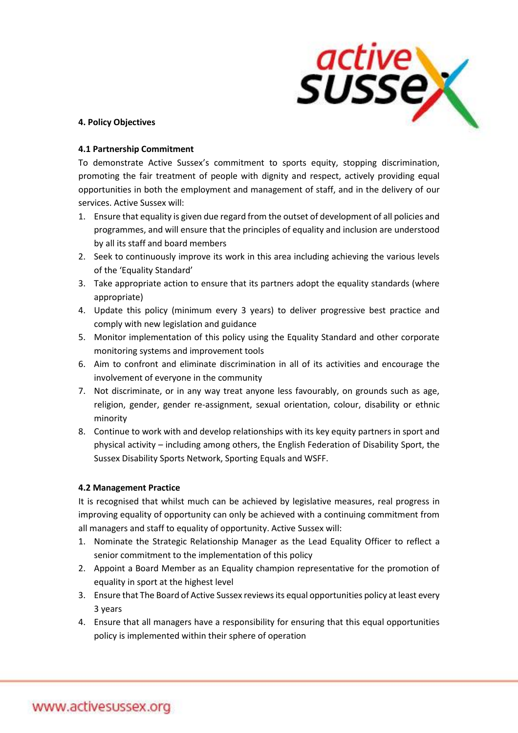

## **4. Policy Objectives**

### **4.1 Partnership Commitment**

To demonstrate Active Sussex's commitment to sports equity, stopping discrimination, promoting the fair treatment of people with dignity and respect, actively providing equal opportunities in both the employment and management of staff, and in the delivery of our services. Active Sussex will:

- 1. Ensure that equality is given due regard from the outset of development of all policies and programmes, and will ensure that the principles of equality and inclusion are understood by all its staff and board members
- 2. Seek to continuously improve its work in this area including achieving the various levels of the 'Equality Standard'
- 3. Take appropriate action to ensure that its partners adopt the equality standards (where appropriate)
- 4. Update this policy (minimum every 3 years) to deliver progressive best practice and comply with new legislation and guidance
- 5. Monitor implementation of this policy using the Equality Standard and other corporate monitoring systems and improvement tools
- 6. Aim to confront and eliminate discrimination in all of its activities and encourage the involvement of everyone in the community
- 7. Not discriminate, or in any way treat anyone less favourably, on grounds such as age, religion, gender, gender re-assignment, sexual orientation, colour, disability or ethnic minority
- 8. Continue to work with and develop relationships with its key equity partners in sport and physical activity – including among others, the English Federation of Disability Sport, the Sussex Disability Sports Network, Sporting Equals and WSFF.

# **4.2 Management Practice**

It is recognised that whilst much can be achieved by legislative measures, real progress in improving equality of opportunity can only be achieved with a continuing commitment from all managers and staff to equality of opportunity. Active Sussex will:

- 1. Nominate the Strategic Relationship Manager as the Lead Equality Officer to reflect a senior commitment to the implementation of this policy
- 2. Appoint a Board Member as an Equality champion representative for the promotion of equality in sport at the highest level
- 3. Ensure that The Board of Active Sussex reviews its equal opportunities policy at least every 3 years
- 4. Ensure that all managers have a responsibility for ensuring that this equal opportunities policy is implemented within their sphere of operation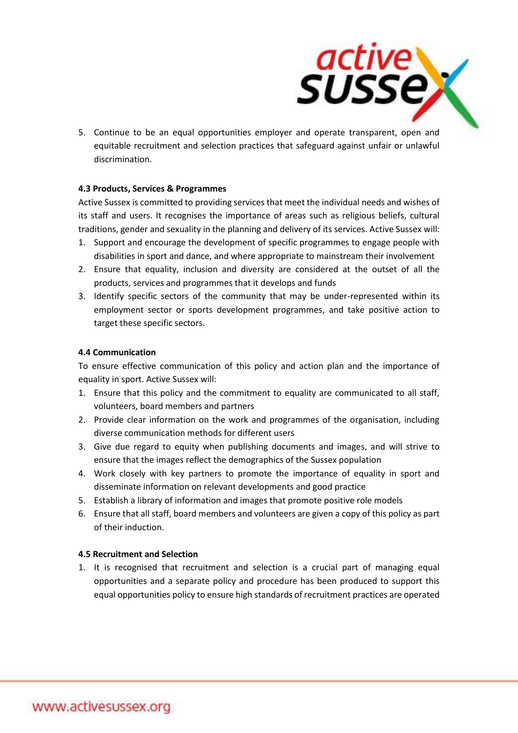

5. Continue to be an equal opportunities employer and operate transparent, open and equitable recruitment and selection practices that safeguard against unfair or unlawful discrimination.

## **4.3 Products, Services & Programmes**

Active Sussex is committed to providing services that meet the individual needs and wishes of its staff and users. It recognises the importance of areas such as religious beliefs, cultural traditions, gender and sexuality in the planning and delivery of its services. Active Sussex will:

- 1. Support and encourage the development of specific programmes to engage people with disabilities in sport and dance, and where appropriate to mainstream their involvement
- 2. Ensure that equality, inclusion and diversity are considered at the outset of all the products, services and programmes that it develops and funds
- 3. Identify specific sectors of the community that may be under-represented within its employment sector or sports development programmes, and take positive action to target these specific sectors.

## **4.4 Communication**

To ensure effective communication of this policy and action plan and the importance of equality in sport. Active Sussex will:

- 1. Ensure that this policy and the commitment to equality are communicated to all staff, volunteers, board members and partners
- 2. Provide clear information on the work and programmes of the organisation, including diverse communication methods for different users
- 3. Give due regard to equity when publishing documents and images, and will strive to ensure that the images reflect the demographics of the Sussex population
- 4. Work closely with key partners to promote the importance of equality in sport and disseminate information on relevant developments and good practice
- 5. Establish a library of information and images that promote positive role models
- 6. Ensure that all staff, board members and volunteers are given a copy of this policy as part of their induction.

#### **4.5 Recruitment and Selection**

1. It is recognised that recruitment and selection is a crucial part of managing equal opportunities and a separate policy and procedure has been produced to support this equal opportunities policy to ensure high standards of recruitment practices are operated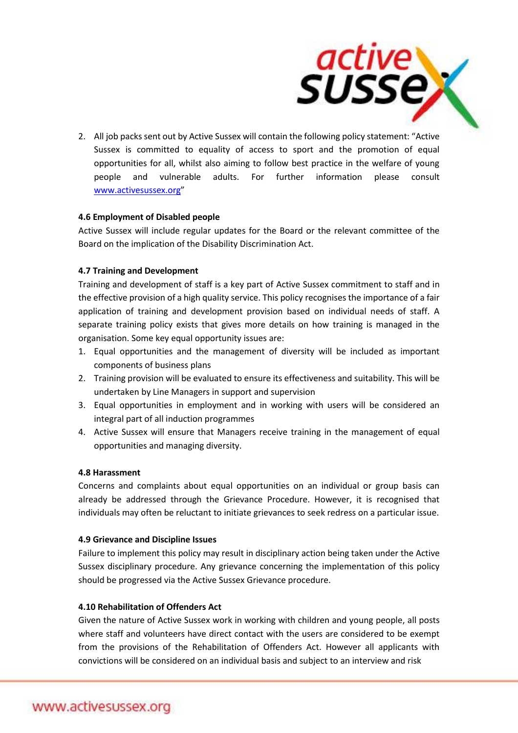

2. All job packs sent out by Active Sussex will contain the following policy statement: "Active Sussex is committed to equality of access to sport and the promotion of equal opportunities for all, whilst also aiming to follow best practice in the welfare of young people and vulnerable adults. For further information please consult [www.activesussex.org](http://www.activesussex.org/)"

## **4.6 Employment of Disabled people**

Active Sussex will include regular updates for the Board or the relevant committee of the Board on the implication of the Disability Discrimination Act.

#### **4.7 Training and Development**

Training and development of staff is a key part of Active Sussex commitment to staff and in the effective provision of a high quality service. This policy recognises the importance of a fair application of training and development provision based on individual needs of staff. A separate training policy exists that gives more details on how training is managed in the organisation. Some key equal opportunity issues are:

- 1. Equal opportunities and the management of diversity will be included as important components of business plans
- 2. Training provision will be evaluated to ensure its effectiveness and suitability. This will be undertaken by Line Managers in support and supervision
- 3. Equal opportunities in employment and in working with users will be considered an integral part of all induction programmes
- 4. Active Sussex will ensure that Managers receive training in the management of equal opportunities and managing diversity.

### **4.8 Harassment**

Concerns and complaints about equal opportunities on an individual or group basis can already be addressed through the Grievance Procedure. However, it is recognised that individuals may often be reluctant to initiate grievances to seek redress on a particular issue.

# **4.9 Grievance and Discipline Issues**

Failure to implement this policy may result in disciplinary action being taken under the Active Sussex disciplinary procedure. Any grievance concerning the implementation of this policy should be progressed via the Active Sussex Grievance procedure.

# **4.10 Rehabilitation of Offenders Act**

Given the nature of Active Sussex work in working with children and young people, all posts where staff and volunteers have direct contact with the users are considered to be exempt from the provisions of the Rehabilitation of Offenders Act. However all applicants with convictions will be considered on an individual basis and subject to an interview and risk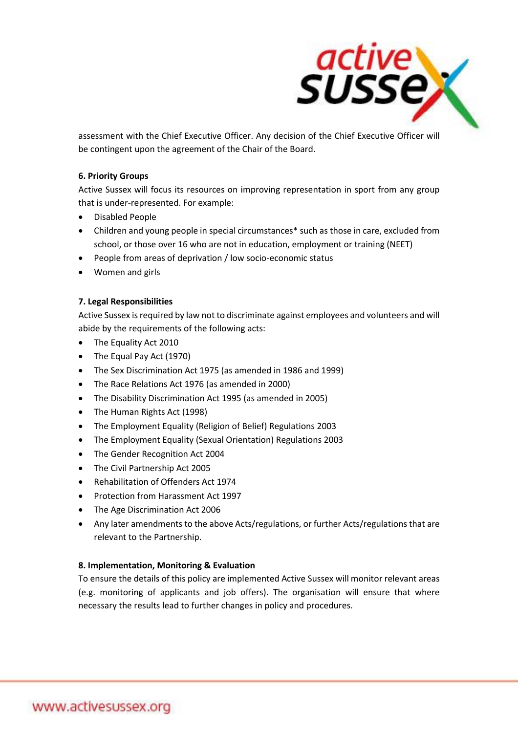

assessment with the Chief Executive Officer. Any decision of the Chief Executive Officer will be contingent upon the agreement of the Chair of the Board.

### **6. Priority Groups**

Active Sussex will focus its resources on improving representation in sport from any group that is under-represented. For example:

- Disabled People
- Children and young people in special circumstances\* such as those in care, excluded from school, or those over 16 who are not in education, employment or training (NEET)
- People from areas of deprivation / low socio-economic status
- Women and girls

## **7. Legal Responsibilities**

Active Sussex is required by law not to discriminate against employees and volunteers and will abide by the requirements of the following acts:

- The Equality Act 2010
- The Equal Pay Act (1970)
- The Sex Discrimination Act 1975 (as amended in 1986 and 1999)
- The Race Relations Act 1976 (as amended in 2000)
- The Disability Discrimination Act 1995 (as amended in 2005)
- The Human Rights Act (1998)
- The Employment Equality (Religion of Belief) Regulations 2003
- The Employment Equality (Sexual Orientation) Regulations 2003
- The Gender Recognition Act 2004
- The Civil Partnership Act 2005
- Rehabilitation of Offenders Act 1974
- Protection from Harassment Act 1997
- The Age Discrimination Act 2006
- Any later amendments to the above Acts/regulations, or further Acts/regulations that are relevant to the Partnership.

#### **8. Implementation, Monitoring & Evaluation**

To ensure the details of this policy are implemented Active Sussex will monitor relevant areas (e.g. monitoring of applicants and job offers). The organisation will ensure that where necessary the results lead to further changes in policy and procedures.